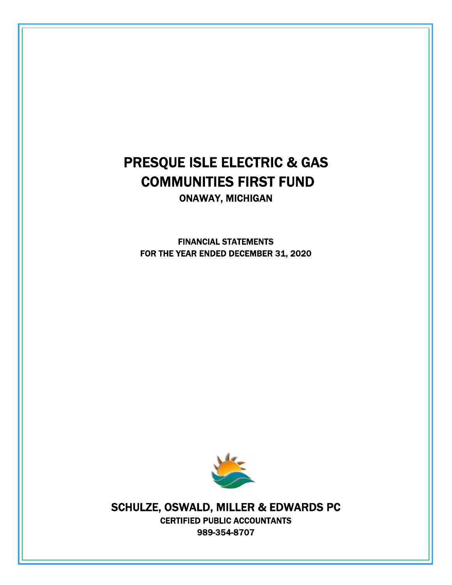# PRESQUE ISLE ELECTRIC & GAS COMMUNITIES FIRST FUND ONAWAY, MICHIGAN

FINANCIAL STATEMENTS FOR THE YEAR ENDED DECEMBER 31, 2020



989-354-8707 SCHULZE, OSWALD, MILLER & EDWARDS PC CERTIFIED PUBLIC ACCOUNTANTS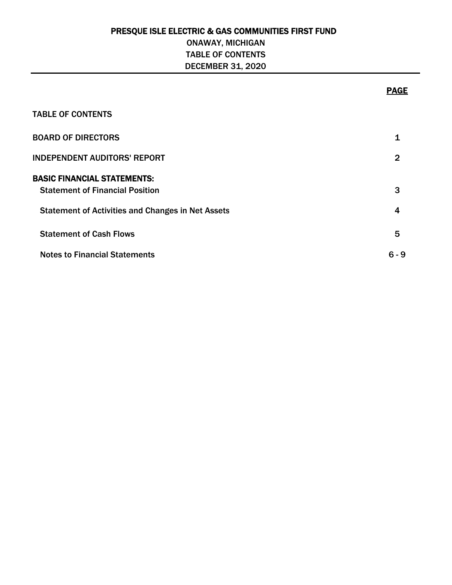# DECEMBER 31, 2020 ONAWAY, MICHIGAN TABLE OF CONTENTS

| <b>TABLE OF CONTENTS</b>                                 |         |
|----------------------------------------------------------|---------|
| <b>BOARD OF DIRECTORS</b>                                | 1       |
| <b>INDEPENDENT AUDITORS' REPORT</b>                      | 2       |
| <b>BASIC FINANCIAL STATEMENTS:</b>                       |         |
| <b>Statement of Financial Position</b>                   | 3       |
| <b>Statement of Activities and Changes in Net Assets</b> | 4       |
| <b>Statement of Cash Flows</b>                           | 5       |
| <b>Notes to Financial Statements</b>                     | $6 - 9$ |

# **PAGE**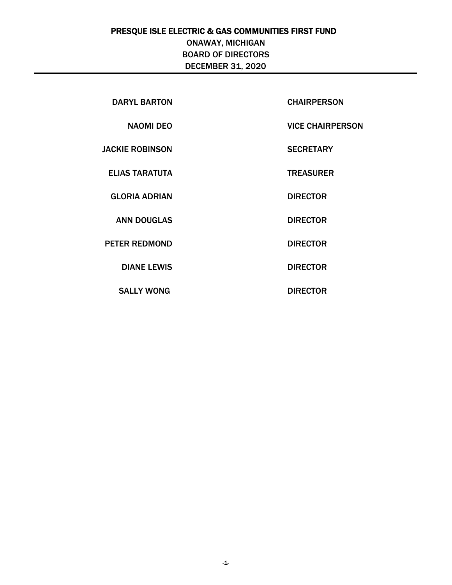# PRESQUE ISLE ELECTRIC & GAS COMMUNITIES FIRST FUND

DECEMBER 31, 2020 ONAWAY, MICHIGAN BOARD OF DIRECTORS

| <b>DARYL BARTON</b>    | <b>CHAIRPERSON</b>      |
|------------------------|-------------------------|
| <b>NAOMI DEO</b>       | <b>VICE CHAIRPERSON</b> |
| <b>JACKIE ROBINSON</b> | <b>SECRETARY</b>        |
| <b>ELIAS TARATUTA</b>  | <b>TREASURER</b>        |
| <b>GLORIA ADRIAN</b>   | <b>DIRECTOR</b>         |
| <b>ANN DOUGLAS</b>     | <b>DIRECTOR</b>         |
| <b>PETER REDMOND</b>   | <b>DIRECTOR</b>         |
| <b>DIANE LEWIS</b>     | <b>DIRECTOR</b>         |
| <b>SALLY WONG</b>      | <b>DIRECTOR</b>         |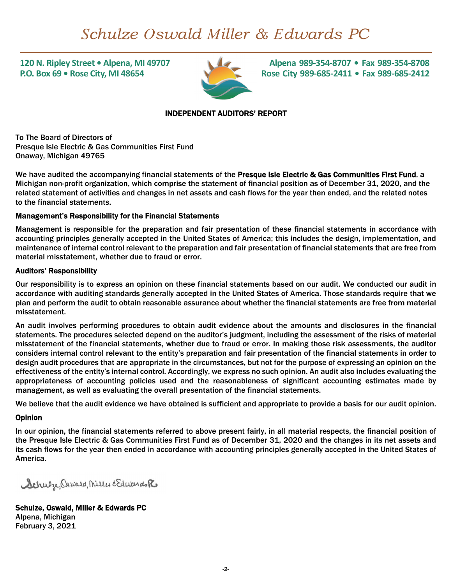# *Schulze Oswald Miller & Edwards PC*

**120 N. Ripley Street • Alpena, MI 49707 P.O. Box 69 • Rose City, MI 48654**



**Alpena 989‐354‐8707 • Fax 989‐354‐8708 Rose City 989‐685‐2411 • Fax 989‐685‐2412**

## INDEPENDENT AUDITORS' REPORT

To The Board of Directors of Presque Isle Electric & Gas Communities First Fund Onaway, Michigan 49765

We have audited the accompanying financial statements of the Presque Isle Electric & Gas Communities First Fund, a Michigan non-profit organization, which comprise the statement of financial position as of December 31, 2020, and the related statement of activities and changes in net assets and cash flows for the year then ended, and the related notes to the financial statements.

#### Management's Responsibility for the Financial Statements

Management is responsible for the preparation and fair presentation of these financial statements in accordance with accounting principles generally accepted in the United States of America; this includes the design, implementation, and maintenance of internal control relevant to the preparation and fair presentation of financial statements that are free from material misstatement, whether due to fraud or error.

#### Auditors' Responsibility

Our responsibility is to express an opinion on these financial statements based on our audit. We conducted our audit in accordance with auditing standards generally accepted in the United States of America. Those standards require that we plan and perform the audit to obtain reasonable assurance about whether the financial statements are free from material misstatement.

An audit involves performing procedures to obtain audit evidence about the amounts and disclosures in the financial statements. The procedures selected depend on the auditor's judgment, including the assessment of the risks of material misstatement of the financial statements, whether due to fraud or error. In making those risk assessments, the auditor considers internal control relevant to the entity's preparation and fair presentation of the financial statements in order to design audit procedures that are appropriate in the circumstances, but not for the purpose of expressing an opinion on the effectiveness of the entity's internal control. Accordingly, we express no such opinion. An audit also includes evaluating the appropriateness of accounting policies used and the reasonableness of significant accounting estimates made by management, as well as evaluating the overall presentation of the financial statements.

We believe that the audit evidence we have obtained is sufficient and appropriate to provide a basis for our audit opinion.

#### Opinion

In our opinion, the financial statements referred to above present fairly, in all material respects, the financial position of the Presque Isle Electric & Gas Communities First Fund as of December 31, 2020 and the changes in its net assets and its cash flows for the year then ended in accordance with accounting principles generally accepted in the United States of America.

Servere Orward, Miller & Edwards R

Schulze, Oswald, Miller & Edwards PC Alpena, Michigan February 3, 2021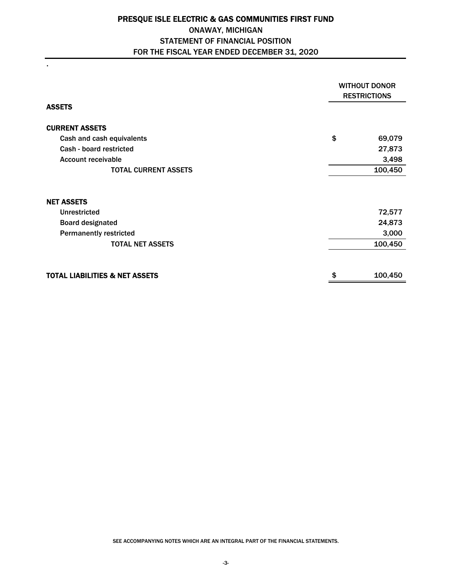## PRESQUE ISLE ELECTRIC & GAS COMMUNITIES FIRST FUND STATEMENT OF FINANCIAL POSITION FOR THE FISCAL YEAR ENDED DECEMBER 31, 2020 ONAWAY, MICHIGAN

.

|                                | <b>WITHOUT DONOR</b><br><b>RESTRICTIONS</b> |  |
|--------------------------------|---------------------------------------------|--|
| ASSETS                         |                                             |  |
| <b>CURRENT ASSETS</b>          |                                             |  |
| Cash and cash equivalents      | \$<br>69,079                                |  |
| Cash - board restricted        | 27,873                                      |  |
| <b>Account receivable</b>      | 3,498                                       |  |
| <b>TOTAL CURRENT ASSETS</b>    | 100,450                                     |  |
| <b>NET ASSETS</b>              |                                             |  |
| <b>Unrestricted</b>            | 72,577                                      |  |
| <b>Board designated</b>        | 24,873                                      |  |
| <b>Permanently restricted</b>  | 3,000                                       |  |
| <b>TOTAL NET ASSETS</b>        | 100,450                                     |  |
|                                |                                             |  |
| TOTAL LIABILITIES & NET ASSETS | \$<br>100,450                               |  |

SEE ACCOMPANYING NOTES WHICH ARE AN INTEGRAL PART OF THE FINANCIAL STATEMENTS.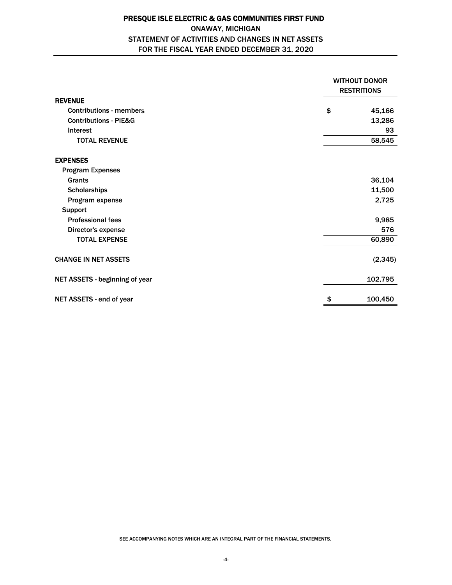## PRESQUE ISLE ELECTRIC & GAS COMMUNITIES FIRST FUND STATEMENT OF ACTIVITIES AND CHANGES IN NET ASSETS FOR THE FISCAL YEAR ENDED DECEMBER 31, 2020 ONAWAY, MICHIGAN

|                                  | <b>WITHOUT DONOR</b><br><b>RESTRITIONS</b> |
|----------------------------------|--------------------------------------------|
| <b>REVENUE</b>                   |                                            |
| <b>Contributions - members</b>   | \$<br>45,166                               |
| <b>Contributions - PIE&amp;G</b> | 13,286                                     |
| Interest                         | 93                                         |
| <b>TOTAL REVENUE</b>             | 58,545                                     |
| <b>EXPENSES</b>                  |                                            |
| <b>Program Expenses</b>          |                                            |
| Grants                           | 36,104                                     |
| <b>Scholarships</b>              | 11,500                                     |
| Program expense                  | 2,725                                      |
| <b>Support</b>                   |                                            |
| <b>Professional fees</b>         | 9,985                                      |
| Director's expense               | 576                                        |
| <b>TOTAL EXPENSE</b>             | 60,890                                     |
| <b>CHANGE IN NET ASSETS</b>      | (2, 345)                                   |
| NET ASSETS - beginning of year   | 102,795                                    |
| NET ASSETS - end of year         | 100,450<br>\$                              |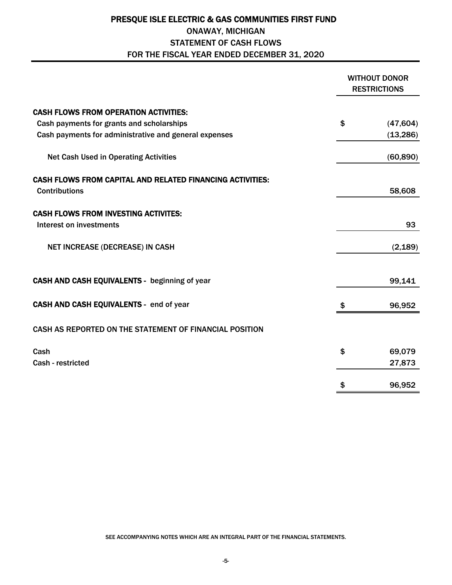# STATEMENT OF CASH FLOWS PRESQUE ISLE ELECTRIC & GAS COMMUNITIES FIRST FUND FOR THE FISCAL YEAR ENDED DECEMBER 31, 2020 ONAWAY, MICHIGAN

|                                                                                          | <b>WITHOUT DONOR</b><br><b>RESTRICTIONS</b> |           |
|------------------------------------------------------------------------------------------|---------------------------------------------|-----------|
| <b>CASH FLOWS FROM OPERATION ACTIVITIES:</b>                                             |                                             |           |
| Cash payments for grants and scholarships                                                | \$                                          | (47, 604) |
| Cash payments for administrative and general expenses                                    |                                             | (13,286)  |
| <b>Net Cash Used in Operating Activities</b>                                             |                                             | (60, 890) |
| <b>CASH FLOWS FROM CAPITAL AND RELATED FINANCING ACTIVITIES:</b><br><b>Contributions</b> |                                             | 58,608    |
| <b>CASH FLOWS FROM INVESTING ACTIVITES:</b><br>Interest on investments                   |                                             | 93        |
| <b>NET INCREASE (DECREASE) IN CASH</b>                                                   |                                             | (2, 189)  |
| CASH AND CASH EQUIVALENTS - beginning of year                                            |                                             | 99,141    |
| <b>CASH AND CASH EQUIVALENTS - end of year</b>                                           | \$                                          | 96,952    |
| CASH AS REPORTED ON THE STATEMENT OF FINANCIAL POSITION                                  |                                             |           |
| Cash                                                                                     | \$                                          | 69,079    |
| Cash - restricted                                                                        |                                             | 27,873    |
|                                                                                          | \$                                          | 96,952    |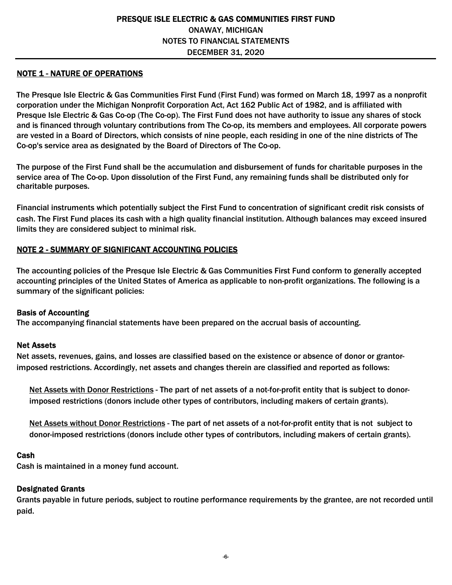## PRESQUE ISLE ELECTRIC & GAS COMMUNITIES FIRST FUND NOTES TO FINANCIAL STATEMENTS DECEMBER 31, 2020 ONAWAY, MICHIGAN

## NOTE 1 - NATURE OF OPERATIONS

The Presque Isle Electric & Gas Communities First Fund (First Fund) was formed on March 18, 1997 as a nonprofit corporation under the Michigan Nonprofit Corporation Act, Act 162 Public Act of 1982, and is affiliated with Presque Isle Electric & Gas Co-op (The Co-op). The First Fund does not have authority to issue any shares of stock and is financed through voluntary contributions from The Co-op, its members and employees. All corporate powers are vested in a Board of Directors, which consists of nine people, each residing in one of the nine districts of The Co-op's service area as designated by the Board of Directors of The Co-op.

The purpose of the First Fund shall be the accumulation and disbursement of funds for charitable purposes in the service area of The Co-op. Upon dissolution of the First Fund, any remaining funds shall be distributed only for charitable purposes.

Financial instruments which potentially subject the First Fund to concentration of significant credit risk consists of cash. The First Fund places its cash with a high quality financial institution. Although balances may exceed insured limits they are considered subject to minimal risk.

## NOTE 2 - SUMMARY OF SIGNIFICANT ACCOUNTING POLICIES

The accounting policies of the Presque Isle Electric & Gas Communities First Fund conform to generally accepted accounting principles of the United States of America as applicable to non-profit organizations. The following is a summary of the significant policies:

#### Basis of Accounting

The accompanying financial statements have been prepared on the accrual basis of accounting.

#### Net Assets

Net assets, revenues, gains, and losses are classified based on the existence or absence of donor or grantorimposed restrictions. Accordingly, net assets and changes therein are classified and reported as follows:

 Net Assets with Donor Restrictions - The part of net assets of a not-for-profit entity that is subject to donor imposed restrictions (donors include other types of contributors, including makers of certain grants).

 Net Assets without Donor Restrictions - The part of net assets of a not-for-profit entity that is not subject to donor-imposed restrictions (donors include other types of contributors, including makers of certain grants).

#### Cash

Cash is maintained in a money fund account.

#### Designated Grants

Grants payable in future periods, subject to routine performance requirements by the grantee, are not recorded until paid.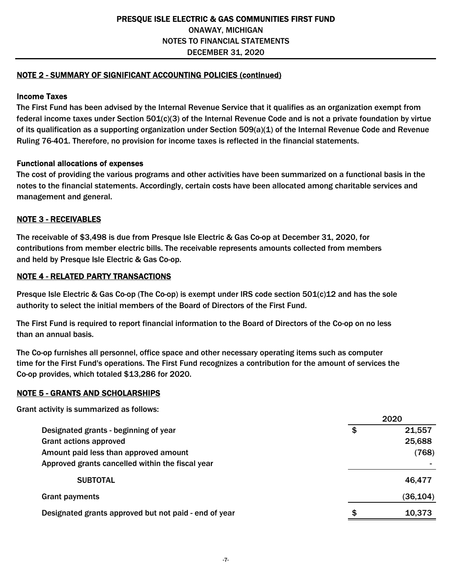## PRESQUE ISLE ELECTRIC & GAS COMMUNITIES FIRST FUND NOTES TO FINANCIAL STATEMENTS DECEMBER 31, 2020 ONAWAY, MICHIGAN

## NOTE 2 - SUMMARY OF SIGNIFICANT ACCOUNTING POLICIES (continued)

### Income Taxes

The First Fund has been advised by the Internal Revenue Service that it qualifies as an organization exempt from federal income taxes under Section 501(c)(3) of the Internal Revenue Code and is not a private foundation by virtue of its qualification as a supporting organization under Section 509(a)(1) of the Internal Revenue Code and Revenue Ruling 76-401. Therefore, no provision for income taxes is reflected in the financial statements.

#### Functional allocations of expenses

The cost of providing the various programs and other activities have been summarized on a functional basis in the notes to the financial statements. Accordingly, certain costs have been allocated among charitable services and management and general.

#### NOTE 3 - RECEIVABLES

The receivable of \$3,498 is due from Presque Isle Electric & Gas Co-op at December 31, 2020, for contributions from member electric bills. The receivable represents amounts collected from members and held by Presque Isle Electric & Gas Co-op.

#### NOTE 4 - RELATED PARTY TRANSACTIONS

Presque Isle Electric & Gas Co-op (The Co-op) is exempt under IRS code section 501(c)12 and has the sole authority to select the initial members of the Board of Directors of the First Fund.

The First Fund is required to report financial information to the Board of Directors of the Co-op on no less than an annual basis.

The Co-op furnishes all personnel, office space and other necessary operating items such as computer time for the First Fund's operations. The First Fund recognizes a contribution for the amount of services the Co-op provides, which totaled \$13,286 for 2020.

## NOTE 5 - GRANTS AND SCHOLARSHIPS

Grant activity is summarized as follows:

|                                                       |    | 2020      |
|-------------------------------------------------------|----|-----------|
| Designated grants - beginning of year                 | \$ | 21,557    |
| Grant actions approved                                |    | 25,688    |
| Amount paid less than approved amount                 |    | (768)     |
| Approved grants cancelled within the fiscal year      |    |           |
| <b>SUBTOTAL</b>                                       |    | 46,477    |
| <b>Grant payments</b>                                 |    | (36, 104) |
| Designated grants approved but not paid - end of year | S  | 10,373    |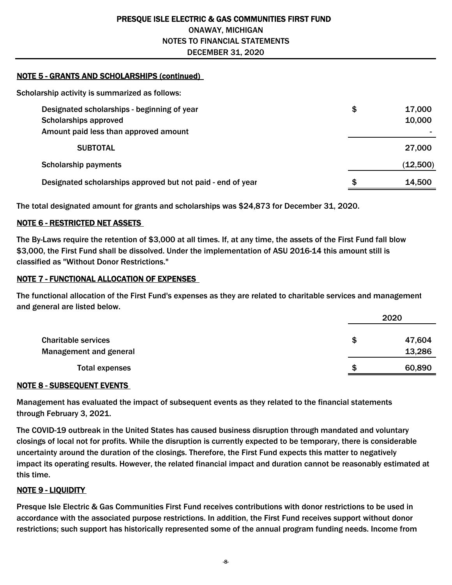## NOTE 5 - GRANTS AND SCHOLARSHIPS (continued)

Scholarship activity is summarized as follows:

| Designated scholarships - beginning of year<br><b>Scholarships approved</b><br>Amount paid less than approved amount | \$<br>17,000<br>10,000 |
|----------------------------------------------------------------------------------------------------------------------|------------------------|
| <b>SUBTOTAL</b>                                                                                                      | 27,000                 |
| <b>Scholarship payments</b>                                                                                          | (12,500)               |
| Designated scholarships approved but not paid - end of year                                                          | \$<br>14,500           |

The total designated amount for grants and scholarships was \$24,873 for December 31, 2020.

## NOTE 6 - RESTRICTED NET ASSETS

The By-Laws require the retention of \$3,000 at all times. If, at any time, the assets of the First Fund fall blow \$3,000, the First Fund shall be dissolved. Under the implementation of ASU 2016-14 this amount still is classified as "Without Donor Restrictions."

#### NOTE 7 - FUNCTIONAL ALLOCATION OF EXPENSES

The functional allocation of the First Fund's expenses as they are related to charitable services and management and general are listed below.

|                               |    | 2020   |  |
|-------------------------------|----|--------|--|
| <b>Charitable services</b>    | \$ | 47,604 |  |
| <b>Management and general</b> |    | 13,286 |  |
| <b>Total expenses</b>         | S  | 60,890 |  |

#### NOTE 8 - SUBSEQUENT EVENTS

Management has evaluated the impact of subsequent events as they related to the financial statements through February 3, 2021.

The COVID-19 outbreak in the United States has caused business disruption through mandated and voluntary closings of local not for profits. While the disruption is currently expected to be temporary, there is considerable uncertainty around the duration of the closings. Therefore, the First Fund expects this matter to negatively impact its operating results. However, the related financial impact and duration cannot be reasonably estimated at this time.

## NOTE 9 - LIQUIDITY

Presque Isle Electric & Gas Communities First Fund receives contributions with donor restrictions to be used in accordance with the associated purpose restrictions. In addition, the First Fund receives support without donor restrictions; such support has historically represented some of the annual program funding needs. Income from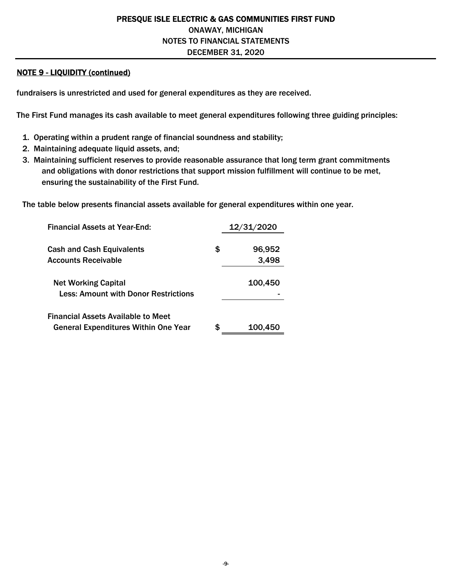## PRESQUE ISLE ELECTRIC & GAS COMMUNITIES FIRST FUND NOTES TO FINANCIAL STATEMENTS DECEMBER 31, 2020 ONAWAY, MICHIGAN

## NOTE 9 - LIQUIDITY (continued)

fundraisers is unrestricted and used for general expenditures as they are received.

The First Fund manages its cash available to meet general expenditures following three guiding principles:

- 1. Operating within a prudent range of financial soundness and stability;
- 2. Maintaining adequate liquid assets, and;
- 3. Maintaining sufficient reserves to provide reasonable assurance that long term grant commitments and obligations with donor restrictions that support mission fulfillment will continue to be met, ensuring the sustainability of the First Fund.

The table below presents financial assets available for general expenditures within one year.

| <b>Financial Assets at Year-End:</b>                                                     |    | 12/31/2020 |
|------------------------------------------------------------------------------------------|----|------------|
| <b>Cash and Cash Equivalents</b>                                                         | \$ | 96,952     |
| <b>Accounts Receivable</b>                                                               |    | 3,498      |
| <b>Net Working Capital</b><br><b>Less: Amount with Donor Restrictions</b>                |    | 100,450    |
| <b>Financial Assets Available to Meet</b><br><b>General Expenditures Within One Year</b> | S  | 100,450    |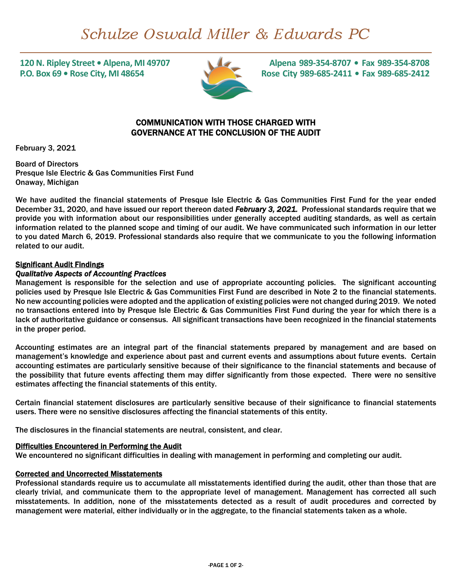# *Schulze Oswald Miller & Edwards PC*

**120 N. Ripley Street • Alpena, MI 49707 P.O. Box 69 • Rose City, MI 48654**



**Alpena 989‐354‐8707 • Fax 989‐354‐8708 Rose City 989‐685‐2411 • Fax 989‐685‐2412**

## COMMUNICATION WITH THOSE CHARGED WITH GOVERNANCE AT THE CONCLUSION OF THE AUDIT

February 3, 2021

Board of Directors Presque Isle Electric & Gas Communities First Fund Onaway, Michigan

We have audited the financial statements of Presque Isle Electric & Gas Communities First Fund for the year ended December 31, 2020, and have issued our report thereon dated *February 3, 2021.* Professional standards require that we provide you with information about our responsibilities under generally accepted auditing standards, as well as certain information related to the planned scope and timing of our audit. We have communicated such information in our letter to you dated March 6, 2019. Professional standards also require that we communicate to you the following information related to our audit.

#### Significant Audit Findings

#### *Qualitative Aspects of Accounting Practices*

Management is responsible for the selection and use of appropriate accounting policies. The significant accounting policies used by Presque Isle Electric & Gas Communities First Fund are described in Note 2 to the financial statements. No new accounting policies were adopted and the application of existing policies were not changed during 2019. We noted no transactions entered into by Presque Isle Electric & Gas Communities First Fund during the year for which there is a lack of authoritative guidance or consensus. All significant transactions have been recognized in the financial statements in the proper period.

Accounting estimates are an integral part of the financial statements prepared by management and are based on management's knowledge and experience about past and current events and assumptions about future events. Certain accounting estimates are particularly sensitive because of their significance to the financial statements and because of the possibility that future events affecting them may differ significantly from those expected. There were no sensitive estimates affecting the financial statements of this entity.

Certain financial statement disclosures are particularly sensitive because of their significance to financial statements users. There were no sensitive disclosures affecting the financial statements of this entity.

The disclosures in the financial statements are neutral, consistent, and clear.

#### Difficulties Encountered in Performing the Audit

We encountered no significant difficulties in dealing with management in performing and completing our audit.

#### Corrected and Uncorrected Misstatements

Professional standards require us to accumulate all misstatements identified during the audit, other than those that are clearly trivial, and communicate them to the appropriate level of management. Management has corrected all such misstatements. In addition, none of the misstatements detected as a result of audit procedures and corrected by management were material, either individually or in the aggregate, to the financial statements taken as a whole.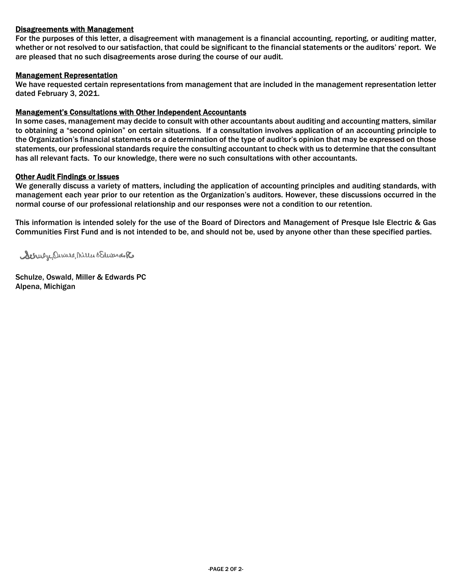#### Disagreements with Management

For the purposes of this letter, a disagreement with management is a financial accounting, reporting, or auditing matter, whether or not resolved to our satisfaction, that could be significant to the financial statements or the auditors' report. We are pleased that no such disagreements arose during the course of our audit.

#### Management Representation

We have requested certain representations from management that are included in the management representation letter dated February 3, 2021.

#### Management's Consultations with Other Independent Accountants

In some cases, management may decide to consult with other accountants about auditing and accounting matters, similar to obtaining a "second opinion" on certain situations. If a consultation involves application of an accounting principle to the Organization's financial statements or a determination of the type of auditor's opinion that may be expressed on those statements, our professional standards require the consulting accountant to check with us to determine that the consultant has all relevant facts. To our knowledge, there were no such consultations with other accountants.

#### Other Audit Findings or Issues

We generally discuss a variety of matters, including the application of accounting principles and auditing standards, with management each year prior to our retention as the Organization's auditors. However, these discussions occurred in the normal course of our professional relationship and our responses were not a condition to our retention.

This information is intended solely for the use of the Board of Directors and Management of Presque Isle Electric & Gas Communities First Fundand is not intended to be, and should not be, used by anyone other than these specified parties.

Serveze Orward, Miller & Edwards R

Schulze, Oswald, Miller & Edwards PC Alpena, Michigan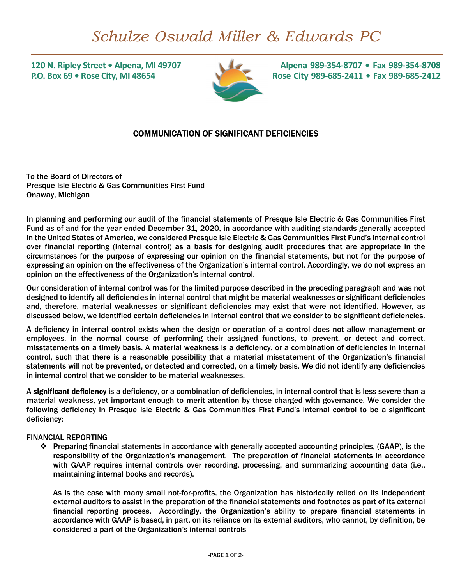**120 N. Ripley Street • Alpena, MI 49707 P.O. Box 69 • Rose City, MI 48654**



**Alpena 989‐354‐8707 • Fax 989‐354‐8708 Rose City 989‐685‐2411 • Fax 989‐685‐2412**

## COMMUNICATION OF SIGNIFICANT DEFICIENCIES

To the Board of Directors of Presque Isle Electric & Gas Communities First Fund Onaway, Michigan

In planning and performing our audit of the financial statements of Presque Isle Electric & Gas Communities First Fund as of and for the year ended December 31, 2020, in accordance with auditing standards generally accepted in the United States of America, we considered Presque Isle Electric & Gas Communities First Fund's internal control over financial reporting (internal control) as a basis for designing audit procedures that are appropriate in the circumstances for the purpose of expressing our opinion on the financial statements, but not for the purpose of expressing an opinion on the effectiveness of the Organization's internal control. Accordingly, we do not express an opinion on the effectiveness of the Organization's internal control.

Our consideration of internal control was for the limited purpose described in the preceding paragraph and was not designed to identify all deficiencies in internal control that might be material weaknesses or significant deficiencies and, therefore, material weaknesses or significant deficiencies may exist that were not identified. However, as discussed below, we identified certain deficiencies in internal control that we consider to be significant deficiencies.

A deficiency in internal control exists when the design or operation of a control does not allow management or employees, in the normal course of performing their assigned functions, to prevent, or detect and correct, misstatements on a timely basis. A material weakness is a deficiency, or a combination of deficiencies in internal control, such that there is a reasonable possibility that a material misstatement of the Organization's financial statements will not be prevented, or detected and corrected, on a timely basis. We did not identify any deficiencies in internal control that we consider to be material weaknesses.

A significant deficiency is a deficiency, or a combination of deficiencies, in internal control that is less severe than a material weakness, yet important enough to merit attention by those charged with governance. We consider the following deficiency in Presque Isle Electric & Gas Communities First Fund's internal control to be a significant deficiency:

## FINANCIAL REPORTING

 Preparing financial statements in accordance with generally accepted accounting principles, (GAAP), is the responsibility of the Organization's management. The preparation of financial statements in accordance with GAAP requires internal controls over recording, processing, and summarizing accounting data (i.e., maintaining internal books and records).

As is the case with many small not-for-profits, the Organization has historically relied on its independent external auditors to assist in the preparation of the financial statements and footnotes as part of its external financial reporting process. Accordingly, the Organization's ability to prepare financial statements in accordance with GAAP is based, in part, on its reliance on its external auditors, who cannot, by definition, be considered a part of the Organization's internal controls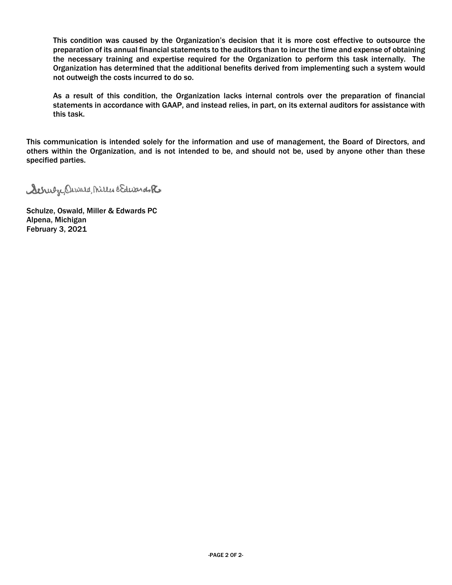This condition was caused by the Organization's decision that it is more cost effective to outsource the preparation of its annual financial statements to the auditors than to incur the time and expense of obtaining the necessary training and expertise required for the Organization to perform this task internally. The Organization has determined that the additional benefits derived from implementing such a system would not outweigh the costs incurred to do so.

As a result of this condition, the Organization lacks internal controls over the preparation of financial statements in accordance with GAAP, and instead relies, in part, on its external auditors for assistance with this task.

This communication is intended solely for the information and use of management, the Board of Directors, and others within the Organization, and is not intended to be, and should not be, used by anyone other than these specified parties.

Servere Orward, Miller & Edwards R

Schulze, Oswald, Miller & Edwards PC Alpena, Michigan February 3, 2021